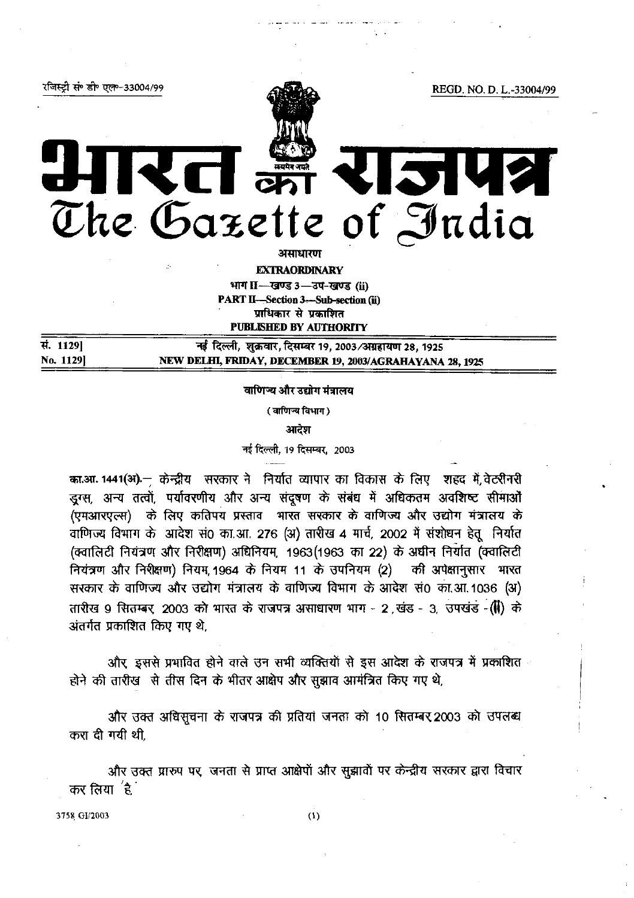रजिस्ट्री सं॰ डी॰ एल॰-33004/99

REGD. NO. D. L.-33004/99

रत क्र 2142 The Gazette of India

असाधारण

**EXTRAORDINARY** 

भाग II-बण्ड 3-उप-खण्ड (ii) **PART II-Section 3-Sub-section (ii)** प्राधिकार से प्रकाशित

**PUBLISHED BY AUTHORITY** 

सं. 1129] नई दिल्ली, शुक्रवार, दिसम्बर 19, 2003/अग्रहायण 28, 1925 No. 1129] NEW DELHI, FRIDAY, DECEMBER 19, 2003/AGRAHAYANA 28, 1925

वाणिन्य और उद्योग मंत्रालय

(वाणिज्य विभाग)

आदेश

नई दिल्ली, 19 दिसम्बर, 2003

का.आ. 1441(अ).— केन्द्रीय सरकार ने निर्यात व्यापार का विकास के लिए शहद में वेटरीनरी डुग्स, अन्य तत्वों, पर्यावरणीय और अन्य संदूषण के संबंध में अधिकतम अवशिष्ट सीमाओं (एमआरएल्स) के लिए कतिपय प्रस्ताव भारत सरकार के वाणिज्य और उद्योग मंत्रालय के वाणिज्य विभाग के आदेश सं0 का.आ. 276 (अ) तारीख 4 मार्च, 2002 में संशोधन हेतू निर्यात (क्वालिटी नियंत्रण और निरीक्षण) अधिनियम, 1963(1963 का 22) के अधीन निर्यात (क्वालिटी नियंत्रण और निरीक्षण) नियम, 1964 के नियम 11 के उपनियम (2) की अपेक्षानुसार भारत सरकार के वाणिज्य और उद्योग मंत्रालय के वाणिज्य विभाग के आदेश सं0 का.आ.1036 (अ) तारीख 9 सितम्बर 2003 को भारत के राजपत्र असाधारण भाग - 2 खंड - 3, उपखंड - (1) के अंतर्गत प्रकाशित किए गए थे.

और इससे प्रभावित होने वाले उन सभी व्यक्तियों से इस आदेश के राजपत्र में प्रकाशित होने की तारीख से तीस दिन के भीतर आक्षेप और सूझाव आमंत्रित किए गए थे,

और उक्त अधिसूचना के राजपत्र की प्रतियां जनता को 10 सितम्बर 2003 को उपलब्ध करा दी गयी थी.

और उक्त प्रारुप पर, जनता से प्राप्त आक्षेपों और सूझावों पर केन्द्रीय सरकार द्वारा विचार कर लिया $\left| \begin{smallmatrix} 2 \ 3 \end{smallmatrix} \right|$ 

3758 GI/2003

 $(1)$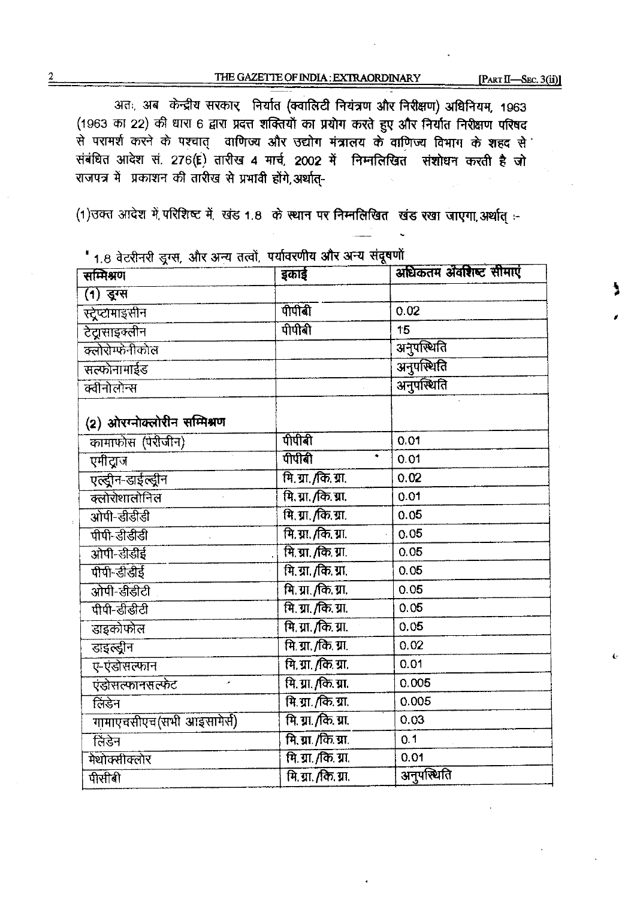# THE GAZETTE OF INDIA: EXTRAORDINARY

[PART II-SEC. 3(ii)]

अतः, अब केन्द्रीय सरकार निर्यात (क्वांसिटी नियंत्रण और निरीक्षण) अधिनियम, 1963 (1963 का 22) की धारा 6 द्वारा प्रदत्त शक्तियों का प्रयोग करते हुए और निर्यात निरीक्षण परिषद से परामर्श करने के पश्चात् वाणिज्य और उद्योग मंत्रालय के वाणिज्य विभाग के शहद से संबंधित आदेश सं. 276(E) तारीख 4 मार्च, 2002 में निम्नलिखित, संशोधन करती है जो राजपत्र में प्रकाशन की तारीख से प्रभावी होंगे,अर्थात्-

(1) उक्त आदेश में परिशिष्ट में, खंड 1.8 के स्थान पर निम्नलिखित खंड रखा जाएगा, अर्थात् :-

| $1.0$ And the $X_{\alpha\beta}$ and $\alpha$ and $\alpha$<br>सम्मिश्रण | इकाई                        | अधिकतम अवशिष्ट सीमाएं |
|------------------------------------------------------------------------|-----------------------------|-----------------------|
| (1) द्रुग्स                                                            |                             |                       |
| स्ट्रेप्टामाइसीन                                                       | पीपीबी                      | 0.02                  |
| टेट्रासाइक्लीन                                                         | पीपीबी                      | 15                    |
| क्लोरोम्फेनीकोल                                                        |                             | अनुपस्थिति            |
| सत्फोनामाईड                                                            |                             | अनुपस्थिति            |
| क्वीनोलोन्स                                                            |                             | अनुपस्थिति            |
| (2) ओरग्नोक्लोरीन सम्मिश्रण                                            |                             |                       |
| कामाफोस (पेरीजीन)                                                      | पीपीबी                      | 0.01                  |
| एमीद्राज                                                               | पीपीबी<br>٠                 | 0.01                  |
| एल्ड्रीन-डाईल्ड्रीन                                                    | मि. ग्रा. <i>(कि.</i> ग्रा. | 0.02                  |
| क्लोरोशालोनिल                                                          | मि. ग्रा. /कि. ग्रा.        | 0.01                  |
| ओपी-डीडीडी                                                             | <u>मि. ग्रा. /कि. ग्रा.</u> | 0.05                  |
| पीपी-डीडीडी                                                            | <u>मि. ग्रा. /कि. ग्रा.</u> | 0.05                  |
| ओपी-डीडीई                                                              | <u>मि. ग्रा. /कि. ग्रा.</u> | 0.05                  |
| पीपी-डीडीई                                                             | मि. ग्रा. /कि. ग्रा.        | 0.05                  |
| ओपी-डीडीटी                                                             | <u>मि. ग्रा. /कि. ग्रा.</u> | 0.05                  |
| पीपी-डीडीटी                                                            | मि. ग्रा. /कि. ग्रा.        | 0.05                  |
| डाइकोफोल                                                               | <u>मि. ग्रा. /कि. ग्रा.</u> | 0.05                  |
| डाइल्ड्रीन                                                             | मि. ग्रा. /कि. ग्रा.        | 0.02                  |
| ए-एंडोसल्फान                                                           | मि. ग्रा. /कि. ग्रा.        | 0.01                  |
| एंडोसल्फानसल्फेट<br>ä,                                                 | मि. ग्रा. /कि. ग्रा.        | 0.005                 |
| लिंडेन                                                                 | <u>मि ग्रा./कि.ग्रा.</u>    | 0.005                 |
| गामाएचसीएच(सभी आइसामेर्स)                                              | मि. ग्रा./कि. ग्रा.         | 0.03                  |
| लिंडेन                                                                 | मि. ग्रा. /कि. ग्रा.        | 0.1                   |
| मेथोक्सीक्लोर                                                          | <u>मि. ग्रा. /कि. ग्रा.</u> | 0.01                  |
| पीसीबी                                                                 | मि. ग्रा. /कि. ग्रा.        | अनुपस्थिति            |

" 1 8 तेत्रगेनरी उत्तम और अन्य तत्वों पर्यावरणीय और अन्य संदर्षणों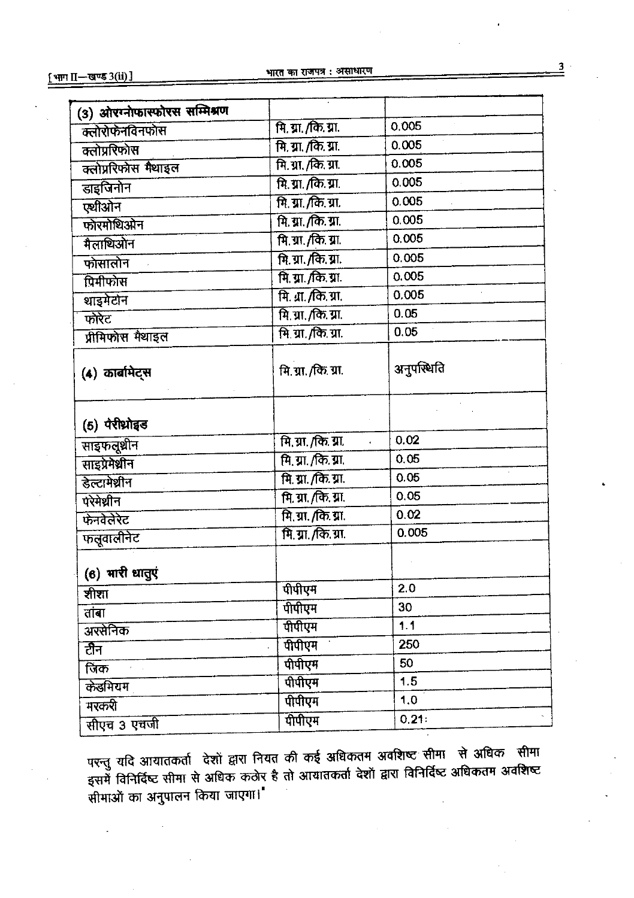|                             | 0.005                                                                                                      |
|-----------------------------|------------------------------------------------------------------------------------------------------------|
| मि. ग्रा. /कि. ग्रा.        | 0.005                                                                                                      |
| मि. ग्रा./कि. ग्रा.         | 0.005                                                                                                      |
| मि. ग्रा. /कि. ग्रा.        | 0.005                                                                                                      |
| <u>मि. ग्रा. /कि. ग्रा.</u> | 0.005                                                                                                      |
| <u>मि. ग्रा. /कि. ग्रा.</u> | 0.005                                                                                                      |
|                             | 0.005                                                                                                      |
| <u>मि. ग्रा. /कि. ग्रा.</u> | 0.005                                                                                                      |
| <u>मि. ग्रा. /कि. ग्रा.</u> | 0.005                                                                                                      |
| मि. ग्रा. /कि. ग्रा.        | 0.005                                                                                                      |
| मि. ग्रा. /कि. ग्रा.        | 0.05                                                                                                       |
| <u>मि. ग्रा./कि. ग्रा.</u>  | 0.05                                                                                                       |
| मि. ग्रा. /कि. ग्रा.        | अनुपस्थिति                                                                                                 |
|                             |                                                                                                            |
| मि. ग्रा. /कि. ग्रा.        | 0.02                                                                                                       |
| मि. ग्रा. /कि. ग्रा.        | 0.05                                                                                                       |
| <u>मि. ग्रा. /कि. ग्रा.</u> | 0.05                                                                                                       |
| <u>मि. ग्रा. /कि. ग्रा.</u> | 0.05                                                                                                       |
|                             | 0.02                                                                                                       |
|                             | 0.005                                                                                                      |
|                             |                                                                                                            |
| पीपीएम                      | 2.0                                                                                                        |
| पीपीएम                      | 30                                                                                                         |
| पीपीएम                      | 1.1                                                                                                        |
| पीपीएम                      | 250                                                                                                        |
| पीपीएम                      | 50                                                                                                         |
| पीपीएम                      | 1.5                                                                                                        |
| पीपीएम                      | 1,0                                                                                                        |
| पीपीएम                      | 0.21:                                                                                                      |
|                             | <u>मि. ग्रा. /कि. ग्रा.</u><br>मि. ग्रा. /कि. ग्रा.<br>मि. ग्रा. /कि. ग्रा.<br><u>मि. ग्रा. /कि. ग्रा.</u> |

परन्तु यदि आयातकर्ता देशों द्वारा नियत की कई अधिकतम अवशिष्ट सीमा से अधिक सीमा इसमें विनिर्दिष्ट सीमा से अधिक कठोर है तो आयातकर्ता देशों द्वारा विनिर्दिष्ट अधिकतम अवशिष्ट .<br>सीमाओं का अनुपालन किया जाएगा।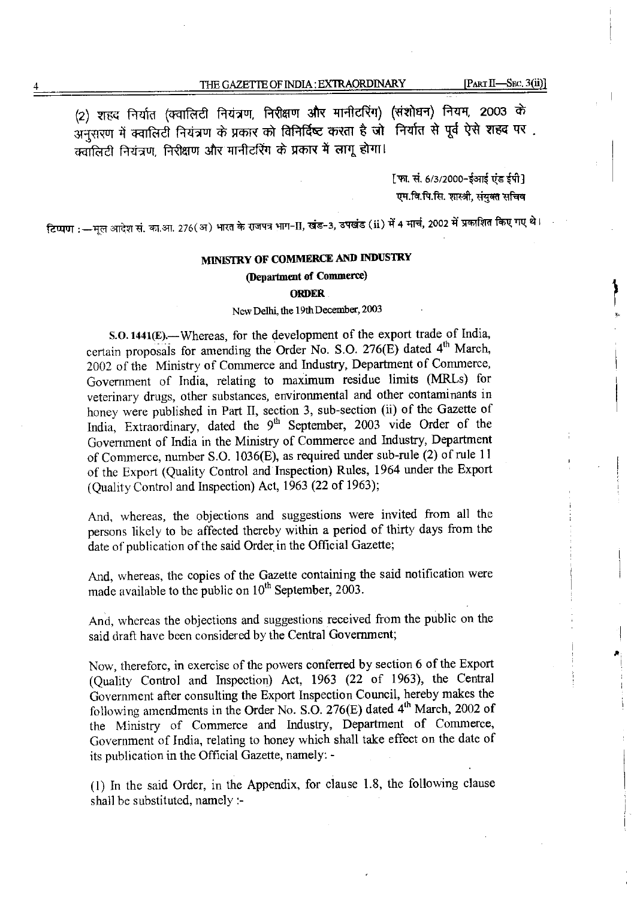(2) शहद निर्यात (क्वालिटी नियंत्रण, निरीक्षण और मानीटरिंग) (संशोधन) नियम, 2003 के अनुसरण में क्वालिटी नियंत्रण के प्रकार को विनिर्दिष्ट करता है जो निर्यात से पूर्व ऐसे शहद पर. क्वॉलिटी नियंत्रण, निरीक्षण और मानीटरिंग के प्रकार में लागू होगा।

> [फा. सं. 6/3/2000-ईआई एंड ईपी] एम.वि.पि.सि. शास्त्री, संयुक्त सचिव

टिप्पण :—मूल आदेश सं. का.आ. 276(अ) भारत के राजपत्र भाग-II, खंड-3, उपखंड (ii) में 4 मार्च, 2002 में प्रकाशित किए गए थे।

## MINISTRY OF COMMERCE AND INDUSTRY

### (Department of Commerce)

#### **ORDER**

#### New Delhi, the 19th December, 2003

S.O. 1441(E). - Whereas, for the development of the export trade of India, certain proposals for amending the Order No. S.O. 276(E) dated 4<sup>th</sup> March, 2002 of the Ministry of Commerce and Industry, Department of Commerce, Government of India, relating to maximum residue limits (MRLs) for veterinary drugs, other substances, environmental and other contaminants in honey were published in Part II, section 3, sub-section (ii) of the Gazette of India, Extraordinary, dated the 9<sup>th</sup> September, 2003 vide Order of the Government of India in the Ministry of Commerce and Industry, Department of Commerce, number S.O. 1036(E), as required under sub-rule (2) of rule 11 of the Export (Quality Control and Inspection) Rules, 1964 under the Export (Quality Control and Inspection) Act, 1963 (22 of 1963);

And, whereas, the objections and suggestions were invited from all the persons likely to be affected thereby within a period of thirty days from the date of publication of the said Order in the Official Gazette;

And, whereas, the copies of the Gazette containing the said notification were made available to the public on 10<sup>th</sup> September, 2003.

And, whereas the objections and suggestions received from the public on the said draft have been considered by the Central Government;

Now, therefore, in exercise of the powers conferred by section 6 of the Export (Quality Control and Inspection) Act, 1963 (22 of 1963), the Central Government after consulting the Export Inspection Council, hereby makes the following amendments in the Order No. S.O. 276(E) dated 4<sup>th</sup> March, 2002 of the Ministry of Commerce and Industry, Department of Commerce, Government of India, relating to honey which shall take effect on the date of its publication in the Official Gazette, namely: -

(1) In the said Order, in the Appendix, for clause 1.8, the following clause shall be substituted, namely :-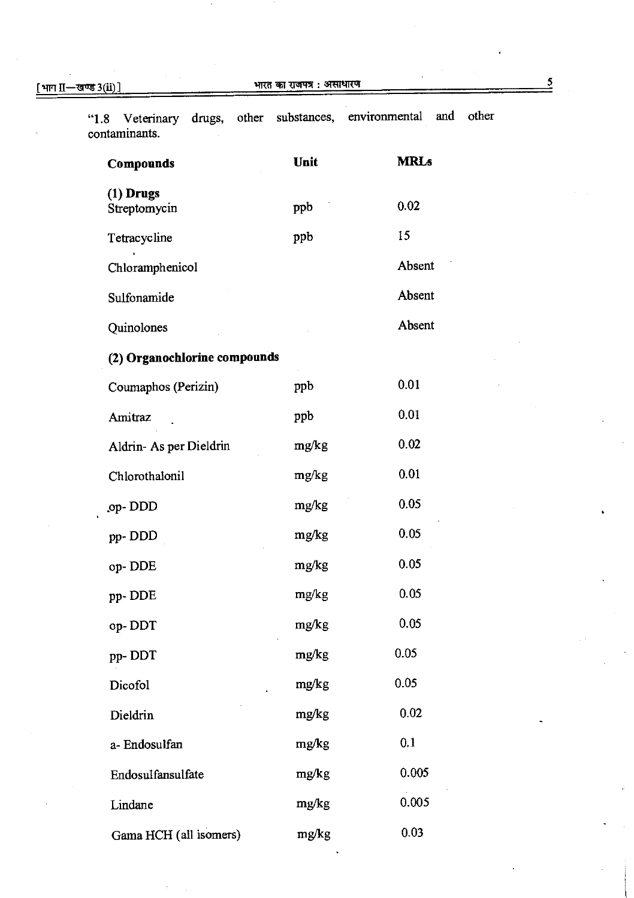| <b>Compounds</b>             | Unit  | <b>MRLs</b> |
|------------------------------|-------|-------------|
| $(1)$ Drugs<br>Streptomycin  | ppb   | 0.02        |
| Tetracycline                 | ppb   | 15          |
| Chloramphenicol              |       | Absent      |
| Sulfonamide                  |       | Absent      |
| Quinolones                   |       | Absent      |
| (2) Organochlorine compounds |       |             |
| Coumaphos (Perizin)          | ppb   | 0.01        |
| Amitraz                      | ppb   | 0.01        |
| Aldrin-As per Dieldrin       | mg/kg | 0.02        |
| Chlorothalonil               | mg/kg | 0.01        |
| op-DDD                       | mg/kg | 0.05        |
| pp-DDD                       | mg/kg | 0.05        |
| op-DDE                       | mg/kg | 0.05        |
| pp-DDE                       | mg/kg | 0.05        |
| op-DDT                       | mg/kg | 0.05        |
| pp-DDT                       | mg/kg | 0.05        |
| Dicofol                      | mg/kg | 0.05        |
| Dieldrin                     | mg/kg | 0.02        |
| a-Endosulfan                 | mg/kg | 0.1         |
| Endosulfansulfate            | mg/kg | 0.005       |
| Lindane                      | mg/kg | 0.005       |
| Gama HCH (all isomers)       | mg/kg | 0.03        |

"1.8 Veterinary drugs, other substances, environmental and other contaminar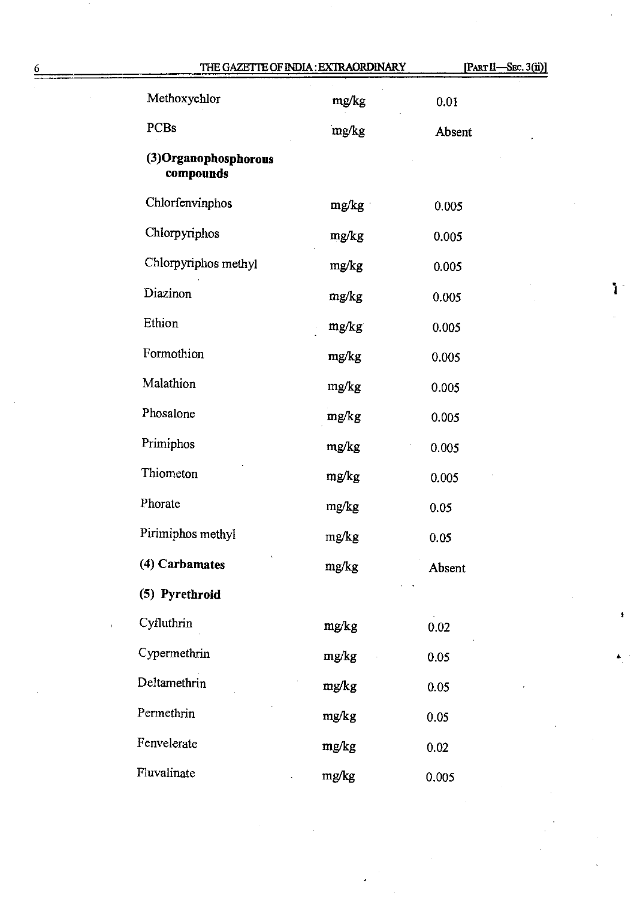|                                    | THE GAZETTE OF INDIA: EXTRAORDINARY | [PART II-SEC. 3(ii)] |
|------------------------------------|-------------------------------------|----------------------|
| Methoxychlor                       | mg/kg                               | 0.01                 |
| PCBs                               | mg/kg                               | Absent               |
| (3) Organophosphorous<br>compounds |                                     |                      |
| Chlorfenvinphos                    | mg/kg                               | 0.005                |
| Chlorpyriphos                      | mg/kg                               | 0.005                |
| Chlorpyriphos methyl               | mg/kg                               | 0.005                |
| Diazinon                           | mg/kg                               | 0.005                |
| Ethion                             | mg/kg                               | 0.005                |
| Formothion                         | mg/kg                               | 0.005                |
| Malathion                          | mg/kg                               | 0.005                |
| Phosalone                          | mg/kg                               | 0.005                |
| Primiphos                          | mg/kg                               | 0.005                |
| Thiometon                          | mg/kg                               | 0.005                |
| Phorate                            | mg/kg                               | 0.05                 |
| Pirimiphos methyl                  | ${\rm mg/kg}$                       | 0.05                 |
| (4) Carbamates                     | mg/kg                               | Absent               |
| (5) Pyrethroid                     |                                     |                      |
| Cyfluthrin                         | mg/kg                               | 0.02                 |
| Cypermethrin                       | mg/kg                               | 0.05                 |
| Deltamethrin                       | mg/kg                               | 0.05                 |
| Permethrin                         | mg/kg                               | 0.05                 |
| Fenvelerate                        | mg/kg                               | 0.02                 |
| Fluvalinate                        | mg/kg                               | 0.005                |

 $\sim$ 

 $\ddot{\phantom{0}}$ 

 $\overline{\phantom{a}}$ 

1

 $\bullet$ 

 $\hat{\mathbf{t}}$